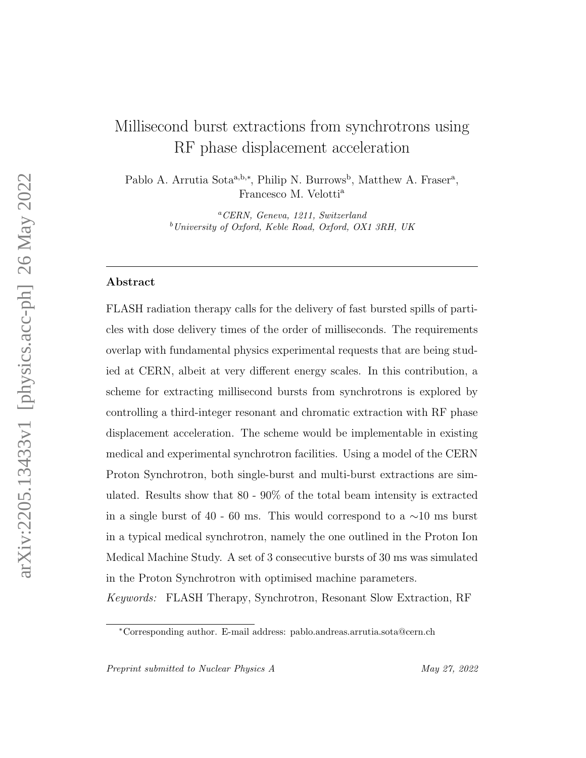# Millisecond burst extractions from synchrotrons using RF phase displacement acceleration

Pablo A. Arrutia Sota<sup>a,b,\*</sup>, Philip N. Burrows<sup>b</sup>, Matthew A. Fraser<sup>a</sup>, Francesco M. Velotti<sup>a</sup>

> <sup>a</sup>CERN, Geneva, 1211, Switzerland  $b$ University of Oxford, Keble Road, Oxford, OX1 3RH, UK

## Abstract

FLASH radiation therapy calls for the delivery of fast bursted spills of particles with dose delivery times of the order of milliseconds. The requirements overlap with fundamental physics experimental requests that are being studied at CERN, albeit at very different energy scales. In this contribution, a scheme for extracting millisecond bursts from synchrotrons is explored by controlling a third-integer resonant and chromatic extraction with RF phase displacement acceleration. The scheme would be implementable in existing medical and experimental synchrotron facilities. Using a model of the CERN Proton Synchrotron, both single-burst and multi-burst extractions are simulated. Results show that 80 - 90% of the total beam intensity is extracted in a single burst of 40 - 60 ms. This would correspond to a  $\sim$ 10 ms burst in a typical medical synchrotron, namely the one outlined in the Proton Ion Medical Machine Study. A set of 3 consecutive bursts of 30 ms was simulated in the Proton Synchrotron with optimised machine parameters.

Keywords: FLASH Therapy, Synchrotron, Resonant Slow Extraction, RF

<sup>∗</sup>Corresponding author. E-mail address: pablo.andreas.arrutia.sota@cern.ch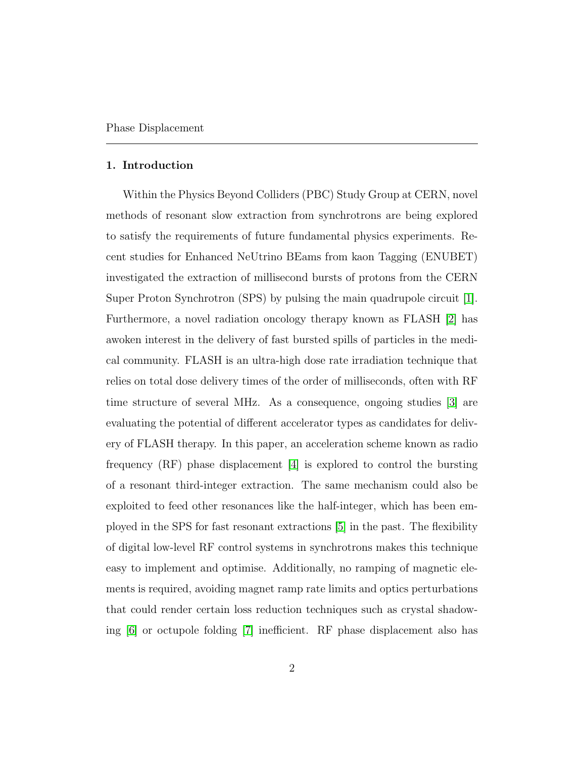#### 1. Introduction

Within the Physics Beyond Colliders (PBC) Study Group at CERN, novel methods of resonant slow extraction from synchrotrons are being explored to satisfy the requirements of future fundamental physics experiments. Recent studies for Enhanced NeUtrino BEams from kaon Tagging (ENUBET) investigated the extraction of millisecond bursts of protons from the CERN Super Proton Synchrotron (SPS) by pulsing the main quadrupole circuit [\[1\]](#page-18-0). Furthermore, a novel radiation oncology therapy known as FLASH [\[2\]](#page-18-1) has awoken interest in the delivery of fast bursted spills of particles in the medical community. FLASH is an ultra-high dose rate irradiation technique that relies on total dose delivery times of the order of milliseconds, often with RF time structure of several MHz. As a consequence, ongoing studies [\[3\]](#page-18-2) are evaluating the potential of different accelerator types as candidates for delivery of FLASH therapy. In this paper, an acceleration scheme known as radio frequency (RF) phase displacement [\[4\]](#page-18-3) is explored to control the bursting of a resonant third-integer extraction. The same mechanism could also be exploited to feed other resonances like the half-integer, which has been employed in the SPS for fast resonant extractions [\[5\]](#page-19-0) in the past. The flexibility of digital low-level RF control systems in synchrotrons makes this technique easy to implement and optimise. Additionally, no ramping of magnetic elements is required, avoiding magnet ramp rate limits and optics perturbations that could render certain loss reduction techniques such as crystal shadowing [\[6\]](#page-19-1) or octupole folding [\[7\]](#page-19-2) inefficient. RF phase displacement also has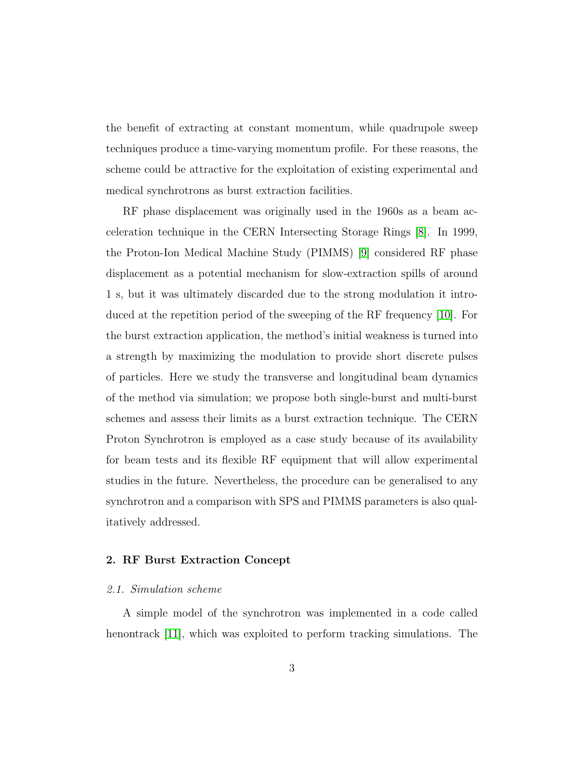the benefit of extracting at constant momentum, while quadrupole sweep techniques produce a time-varying momentum profile. For these reasons, the scheme could be attractive for the exploitation of existing experimental and medical synchrotrons as burst extraction facilities.

RF phase displacement was originally used in the 1960s as a beam acceleration technique in the CERN Intersecting Storage Rings [\[8\]](#page-19-3). In 1999, the Proton-Ion Medical Machine Study (PIMMS) [\[9\]](#page-19-4) considered RF phase displacement as a potential mechanism for slow-extraction spills of around 1 s, but it was ultimately discarded due to the strong modulation it introduced at the repetition period of the sweeping of the RF frequency [\[10\]](#page-20-0). For the burst extraction application, the method's initial weakness is turned into a strength by maximizing the modulation to provide short discrete pulses of particles. Here we study the transverse and longitudinal beam dynamics of the method via simulation; we propose both single-burst and multi-burst schemes and assess their limits as a burst extraction technique. The CERN Proton Synchrotron is employed as a case study because of its availability for beam tests and its flexible RF equipment that will allow experimental studies in the future. Nevertheless, the procedure can be generalised to any synchrotron and a comparison with SPS and PIMMS parameters is also qualitatively addressed.

## 2. RF Burst Extraction Concept

## 2.1. Simulation scheme

A simple model of the synchrotron was implemented in a code called henontrack [\[11\]](#page-20-1), which was exploited to perform tracking simulations. The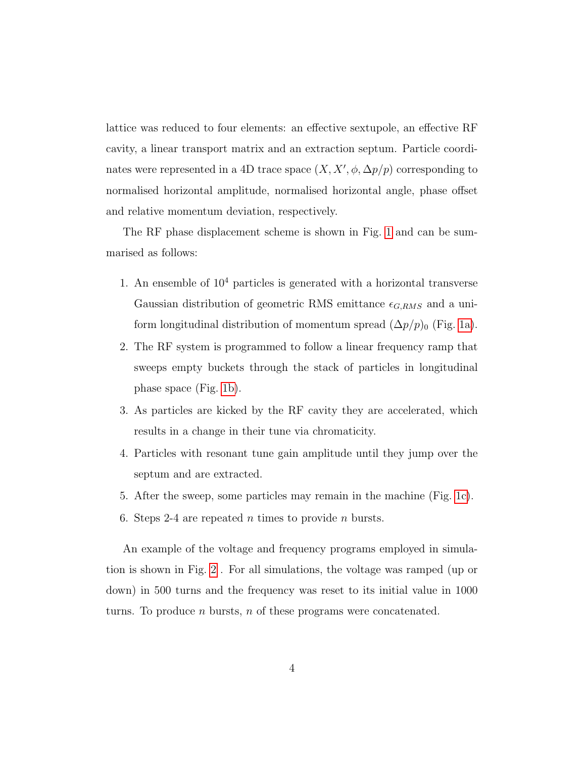lattice was reduced to four elements: an effective sextupole, an effective RF cavity, a linear transport matrix and an extraction septum. Particle coordinates were represented in a 4D trace space  $(X, X', \phi, \Delta p/p)$  corresponding to normalised horizontal amplitude, normalised horizontal angle, phase offset and relative momentum deviation, respectively.

The RF phase displacement scheme is shown in Fig. [1](#page-4-0) and can be summarised as follows:

- 1. An ensemble of  $10<sup>4</sup>$  particles is generated with a horizontal transverse Gaussian distribution of geometric RMS emittance  $\epsilon_{G,RMS}$  and a uniform longitudinal distribution of momentum spread  $(\Delta p/p)_0$  (Fig. [1a\)](#page-4-0).
- 2. The RF system is programmed to follow a linear frequency ramp that sweeps empty buckets through the stack of particles in longitudinal phase space (Fig. [1b\)](#page-4-0).
- 3. As particles are kicked by the RF cavity they are accelerated, which results in a change in their tune via chromaticity.
- 4. Particles with resonant tune gain amplitude until they jump over the septum and are extracted.
- 5. After the sweep, some particles may remain in the machine (Fig. [1c\)](#page-4-0).
- 6. Steps 2-4 are repeated n times to provide n bursts.

An example of the voltage and frequency programs employed in simulation is shown in Fig. [2](#page-5-0) . For all simulations, the voltage was ramped (up or down) in 500 turns and the frequency was reset to its initial value in 1000 turns. To produce n bursts, n of these programs were concatenated.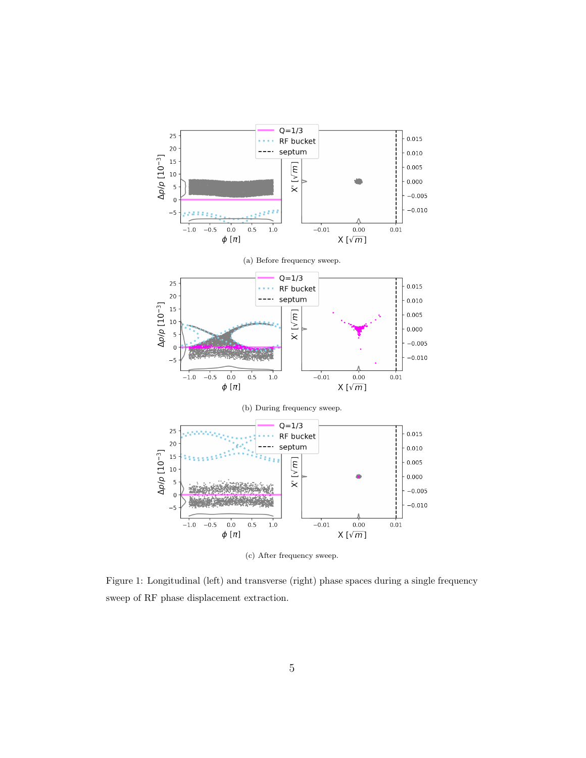<span id="page-4-0"></span>

(c) After frequency sweep.

Figure 1: Longitudinal (left) and transverse (right) phase spaces during a single frequency sweep of RF phase displacement extraction.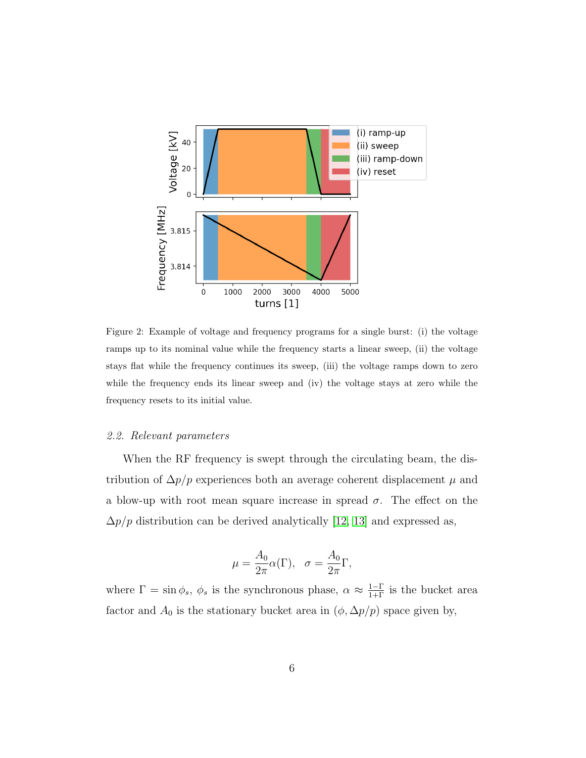<span id="page-5-0"></span>

Figure 2: Example of voltage and frequency programs for a single burst: (i) the voltage ramps up to its nominal value while the frequency starts a linear sweep, (ii) the voltage stays flat while the frequency continues its sweep, (iii) the voltage ramps down to zero while the frequency ends its linear sweep and (iv) the voltage stays at zero while the frequency resets to its initial value.

#### 2.2. Relevant parameters

When the RF frequency is swept through the circulating beam, the distribution of  $\Delta p/p$  experiences both an average coherent displacement  $\mu$  and a blow-up with root mean square increase in spread  $\sigma$ . The effect on the  $\Delta p/p$  distribution can be derived analytically [\[12,](#page-20-2) [13\]](#page-20-3) and expressed as,

$$
\mu = \frac{A_0}{2\pi} \alpha(\Gamma), \quad \sigma = \frac{A_0}{2\pi} \Gamma,
$$

where  $\Gamma = \sin \phi_s$ ,  $\phi_s$  is the synchronous phase,  $\alpha \approx \frac{1-\Gamma}{1+\Gamma}$  is the bucket area factor and  $A_0$  is the stationary bucket area in  $(\phi, \Delta p/p)$  space given by,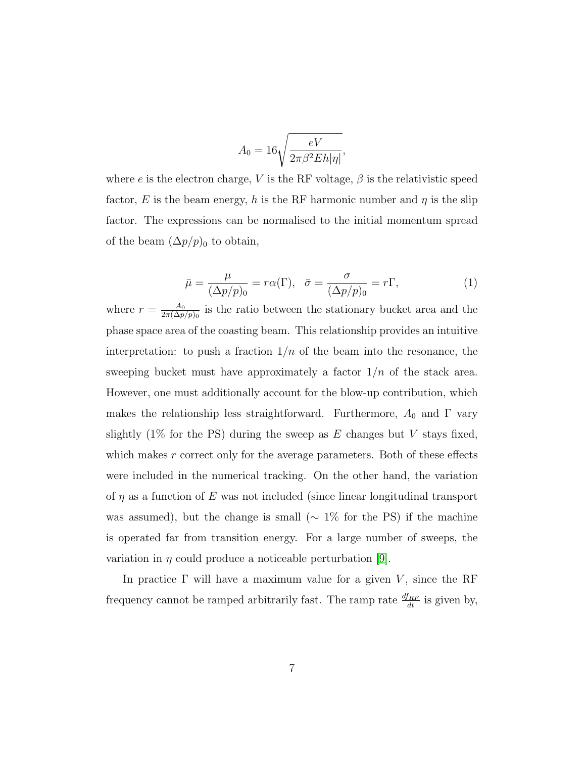$$
A_0=16\sqrt{\frac{eV}{2\pi\beta^2Eh|\eta|}},
$$

where e is the electron charge, V is the RF voltage,  $\beta$  is the relativistic speed factor, E is the beam energy, h is the RF harmonic number and  $\eta$  is the slip factor. The expressions can be normalised to the initial momentum spread of the beam  $(\Delta p/p)_0$  to obtain,

$$
\bar{\mu} = \frac{\mu}{(\Delta p/p)_0} = r\alpha(\Gamma), \quad \bar{\sigma} = \frac{\sigma}{(\Delta p/p)_0} = r\Gamma,
$$
\n(1)

<span id="page-6-0"></span>where  $r = \frac{A_0}{2\pi(\Delta n)}$  $\frac{A_0}{2\pi(\Delta p/p)_0}$  is the ratio between the stationary bucket area and the phase space area of the coasting beam. This relationship provides an intuitive interpretation: to push a fraction  $1/n$  of the beam into the resonance, the sweeping bucket must have approximately a factor  $1/n$  of the stack area. However, one must additionally account for the blow-up contribution, which makes the relationship less straightforward. Furthermore,  $A_0$  and  $\Gamma$  vary slightly  $(1\%$  for the PS) during the sweep as E changes but V stays fixed, which makes r correct only for the average parameters. Both of these effects were included in the numerical tracking. On the other hand, the variation of  $\eta$  as a function of E was not included (since linear longitudinal transport was assumed), but the change is small ( $\sim 1\%$  for the PS) if the machine is operated far from transition energy. For a large number of sweeps, the variation in  $\eta$  could produce a noticeable perturbation [\[9\]](#page-19-4).

In practice  $\Gamma$  will have a maximum value for a given V, since the RF frequency cannot be ramped arbitrarily fast. The ramp rate  $\frac{df_{RF}}{dt}$  is given by,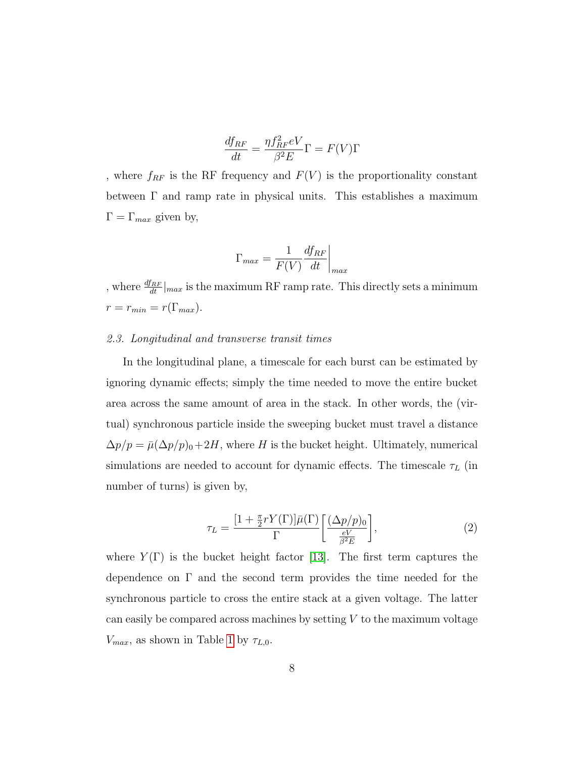$$
\frac{df_{RF}}{dt} = \frac{\eta f_{RF}^2 eV}{\beta^2 E} \Gamma = F(V) \Gamma
$$

, where  $f_{RF}$  is the RF frequency and  $F({\cal V})$  is the proportionality constant between  $\Gamma$  and ramp rate in physical units. This establishes a maximum  $\Gamma = \Gamma_{max}$  given by,

$$
\Gamma_{max} = \frac{1}{F(V)} \frac{df_{RF}}{dt}\bigg|_{max}
$$

, where  $\frac{df_{RF}}{dt}|_{max}$  is the maximum RF ramp rate. This directly sets a minimum  $r = r_{min} = r(\Gamma_{max}).$ 

## 2.3. Longitudinal and transverse transit times

In the longitudinal plane, a timescale for each burst can be estimated by ignoring dynamic effects; simply the time needed to move the entire bucket area across the same amount of area in the stack. In other words, the (virtual) synchronous particle inside the sweeping bucket must travel a distance  $\Delta p/p = \bar{\mu}(\Delta p/p)_0 + 2H$ , where H is the bucket height. Ultimately, numerical simulations are needed to account for dynamic effects. The timescale  $\tau_L$  (in number of turns) is given by,

$$
\tau_L = \frac{[1 + \frac{\pi}{2} r Y(\Gamma)] \bar{\mu}(\Gamma)}{\Gamma} \left[ \frac{(\Delta p/p)_0}{\frac{eV}{\beta^2 E}} \right],\tag{2}
$$

<span id="page-7-0"></span>where  $Y(\Gamma)$  is the bucket height factor [\[13\]](#page-20-3). The first term captures the dependence on  $\Gamma$  and the second term provides the time needed for the synchronous particle to cross the entire stack at a given voltage. The latter can easily be compared across machines by setting  $V$  to the maximum voltage  $V_{max}$ , as shown in Table [1](#page-9-0) by  $\tau_{L,0}$ .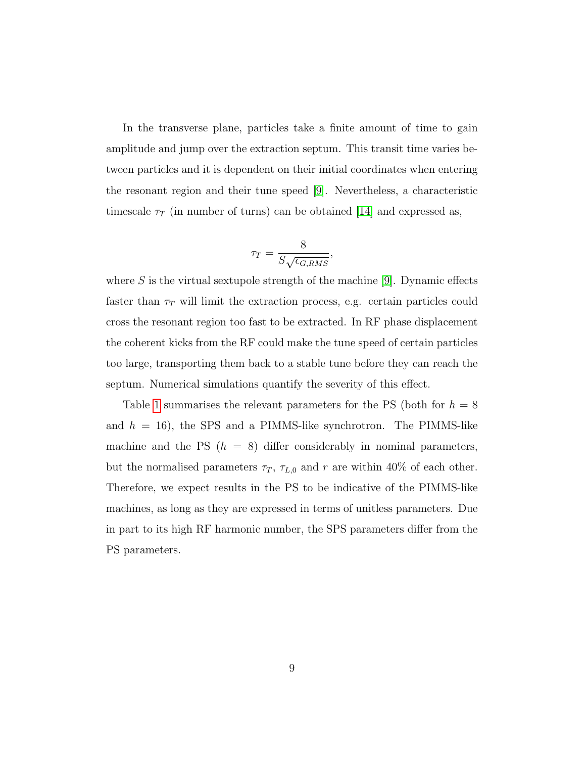In the transverse plane, particles take a finite amount of time to gain amplitude and jump over the extraction septum. This transit time varies between particles and it is dependent on their initial coordinates when entering the resonant region and their tune speed [\[9\]](#page-19-4). Nevertheless, a characteristic timescale  $\tau_T$  (in number of turns) can be obtained [\[14\]](#page-20-4) and expressed as,

$$
\tau_T = \frac{8}{S\sqrt{\epsilon_{G,RMS}}}
$$

,

where  $S$  is the virtual sextupole strength of the machine  $[9]$ . Dynamic effects faster than  $\tau_T$  will limit the extraction process, e.g. certain particles could cross the resonant region too fast to be extracted. In RF phase displacement the coherent kicks from the RF could make the tune speed of certain particles too large, transporting them back to a stable tune before they can reach the septum. Numerical simulations quantify the severity of this effect.

Table [1](#page-9-0) summarises the relevant parameters for the PS (both for  $h = 8$ ) and  $h = 16$ ), the SPS and a PIMMS-like synchrotron. The PIMMS-like machine and the PS  $(h = 8)$  differ considerably in nominal parameters, but the normalised parameters  $\tau_T$ ,  $\tau_{L,0}$  and r are within 40% of each other. Therefore, we expect results in the PS to be indicative of the PIMMS-like machines, as long as they are expressed in terms of unitless parameters. Due in part to its high RF harmonic number, the SPS parameters differ from the PS parameters.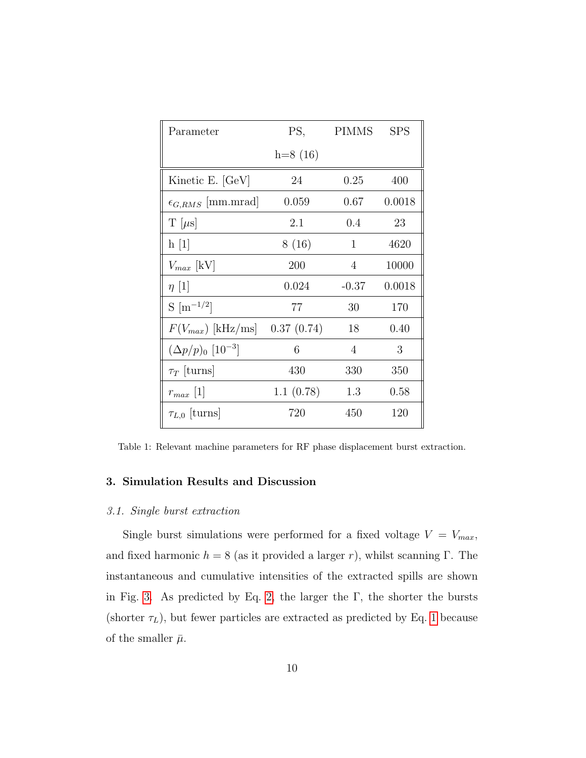<span id="page-9-0"></span>

| Parameter                            | PS,        | PIMMS        | <b>SPS</b> |
|--------------------------------------|------------|--------------|------------|
|                                      | $h=8(16)$  |              |            |
| Kinetic E. [GeV]                     | 24         | 0.25         | 400        |
| $\epsilon_{G,RMS}$ [mm.mrad]         | 0.059      | 0.67         | 0.0018     |
| $T[\mu s]$                           | 2.1        | $0.4\,$      | 23         |
| h[1]                                 | 8(16)      | $\mathbf{1}$ | 4620       |
| $V_{max}$ [kV]                       | 200        | 4            | 10000      |
| $\eta$ [1]                           | 0.024      | $-0.37$      | 0.0018     |
| $S \,[\mathrm{m}^{-1/2}]$            | 77         | 30           | 170        |
| $F(V_{max})$ [kHz/ms]                | 0.37(0.74) | 18           | 0.40       |
| $(\Delta p/p)_0$ [10 <sup>-3</sup> ] | 6          | 4            | 3          |
| $\tau_T$ [turns]                     | 430        | 330          | 350        |
| $r_{max}$ [1]                        | 1.1(0.78)  | 1.3          | 0.58       |
| $\tau_{L,0}$ [turns]                 | 720        | 450          | 120        |

Table 1: Relevant machine parameters for RF phase displacement burst extraction.

## 3. Simulation Results and Discussion

## 3.1. Single burst extraction

Single burst simulations were performed for a fixed voltage  $V = V_{max}$ , and fixed harmonic  $h = 8$  (as it provided a larger r), whilst scanning Γ. The instantaneous and cumulative intensities of the extracted spills are shown in Fig. [3.](#page-10-0) As predicted by Eq. [2,](#page-7-0) the larger the  $\Gamma$ , the shorter the bursts (shorter  $\tau_L$ ), but fewer particles are extracted as predicted by Eq. [1](#page-6-0) because of the smaller  $\bar{\mu}$ .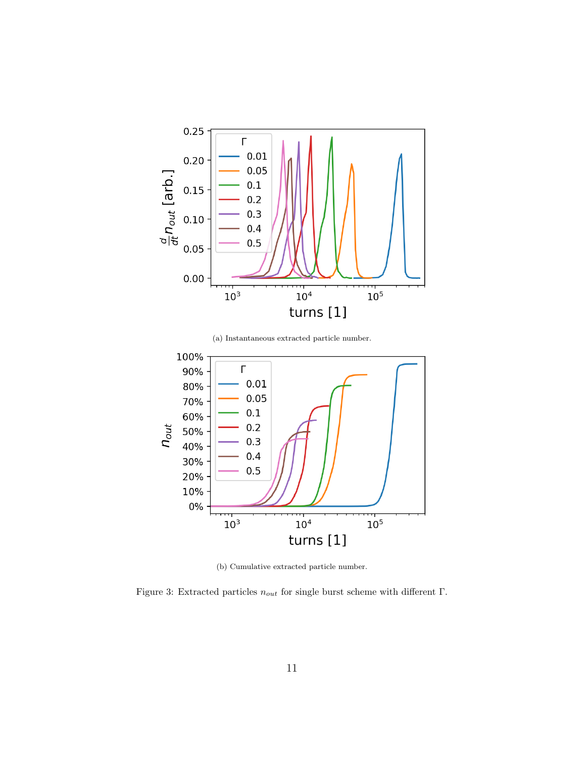<span id="page-10-0"></span>

(a) Instantaneous extracted particle number.



(b) Cumulative extracted particle number.

Figure 3: Extracted particles  $n_{out}$  for single burst scheme with different  $\Gamma.$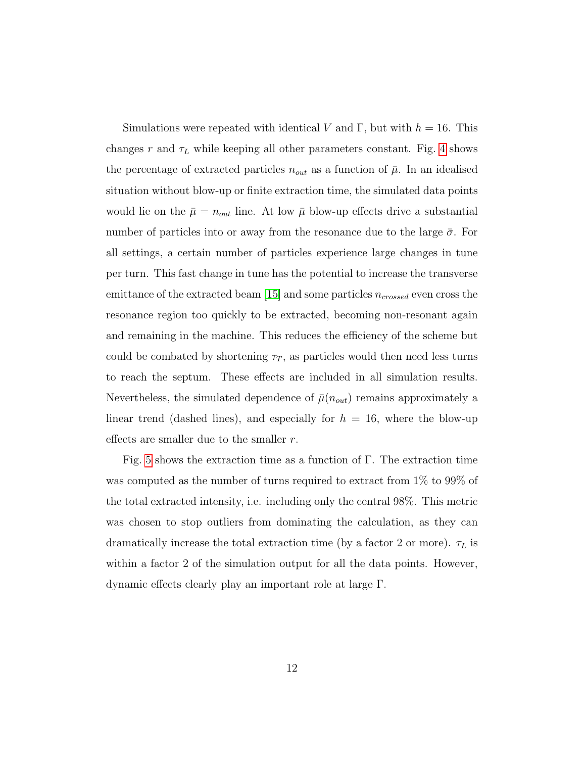Simulations were repeated with identical V and Γ, but with  $h = 16$ . This changes r and  $\tau_L$  while keeping all other parameters constant. Fig. [4](#page-12-0) shows the percentage of extracted particles  $n_{out}$  as a function of  $\bar{\mu}$ . In an idealised situation without blow-up or finite extraction time, the simulated data points would lie on the  $\bar{\mu} = n_{out}$  line. At low  $\bar{\mu}$  blow-up effects drive a substantial number of particles into or away from the resonance due to the large  $\bar{\sigma}$ . For all settings, a certain number of particles experience large changes in tune per turn. This fast change in tune has the potential to increase the transverse emittance of the extracted beam [\[15\]](#page-20-5) and some particles  $n_{crossed}$  even cross the resonance region too quickly to be extracted, becoming non-resonant again and remaining in the machine. This reduces the efficiency of the scheme but could be combated by shortening  $\tau_T$ , as particles would then need less turns to reach the septum. These effects are included in all simulation results. Nevertheless, the simulated dependence of  $\bar{\mu}(n_{out})$  remains approximately a linear trend (dashed lines), and especially for  $h = 16$ , where the blow-up effects are smaller due to the smaller  $r$ .

Fig. [5](#page-13-0) shows the extraction time as a function of Γ. The extraction time was computed as the number of turns required to extract from 1% to 99% of the total extracted intensity, i.e. including only the central 98%. This metric was chosen to stop outliers from dominating the calculation, as they can dramatically increase the total extraction time (by a factor 2 or more).  $\tau_L$  is within a factor 2 of the simulation output for all the data points. However, dynamic effects clearly play an important role at large Γ.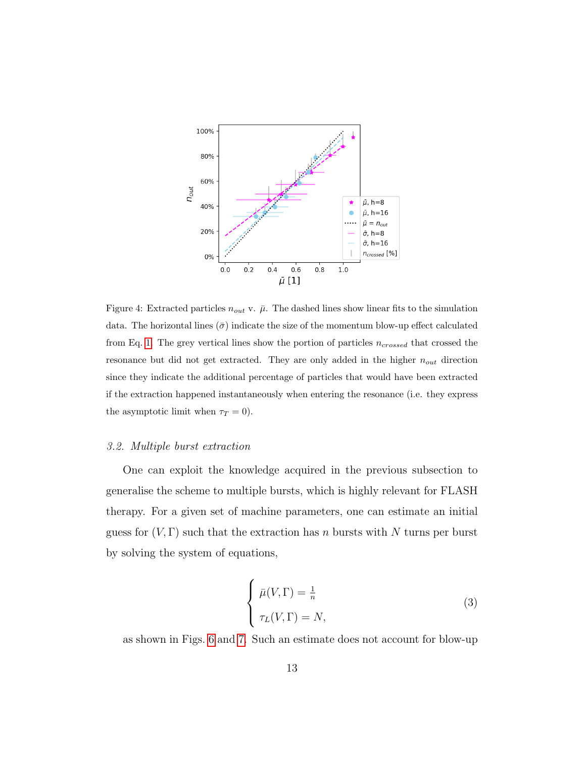<span id="page-12-0"></span>

Figure 4: Extracted particles  $n_{out}$  v.  $\bar{\mu}$ . The dashed lines show linear fits to the simulation data. The horizontal lines ( $\bar{\sigma}$ ) indicate the size of the momentum blow-up effect calculated from Eq. [1.](#page-6-0) The grey vertical lines show the portion of particles  $n_{crossed}$  that crossed the resonance but did not get extracted. They are only added in the higher  $n_{out}$  direction since they indicate the additional percentage of particles that would have been extracted if the extraction happened instantaneously when entering the resonance (i.e. they express the asymptotic limit when  $\tau_T = 0$ ).

## 3.2. Multiple burst extraction

One can exploit the knowledge acquired in the previous subsection to generalise the scheme to multiple bursts, which is highly relevant for FLASH therapy. For a given set of machine parameters, one can estimate an initial guess for  $(V, \Gamma)$  such that the extraction has n bursts with N turns per burst by solving the system of equations,

$$
\begin{cases}\n\bar{\mu}(V,\Gamma) = \frac{1}{n} \\
\tau_L(V,\Gamma) = N,\n\end{cases}
$$
\n(3)

as shown in Figs. [6](#page-14-0) and [7.](#page-14-1) Such an estimate does not account for blow-up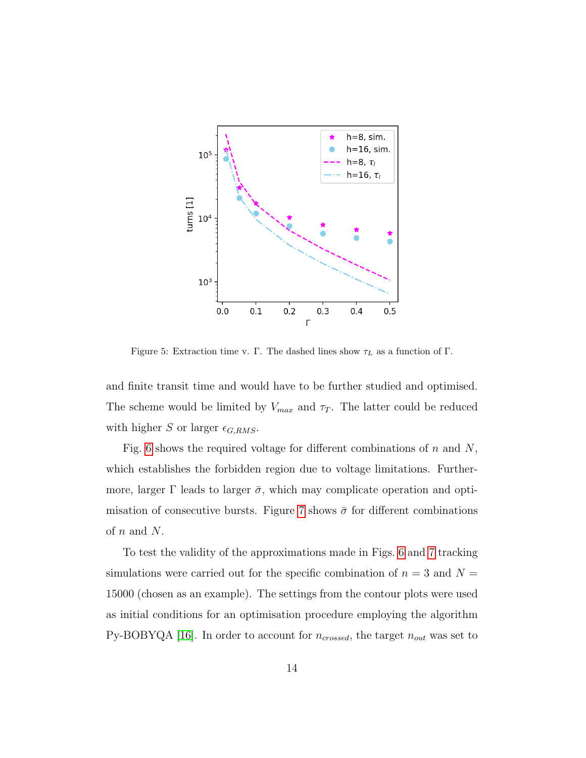<span id="page-13-0"></span>

Figure 5: Extraction time v. Γ. The dashed lines show  $\tau_L$  as a function of Γ.

and finite transit time and would have to be further studied and optimised. The scheme would be limited by  $V_{max}$  and  $\tau_T$ . The latter could be reduced with higher S or larger  $\epsilon_{G,RMS}$ .

Fig. [6](#page-14-0) shows the required voltage for different combinations of  $n$  and  $N$ , which establishes the forbidden region due to voltage limitations. Furthermore, larger  $\Gamma$  leads to larger  $\bar{\sigma}$ , which may complicate operation and opti-misation of consecutive bursts. Figure [7](#page-14-1) shows  $\bar{\sigma}$  for different combinations of  $n$  and  $N$ .

To test the validity of the approximations made in Figs. [6](#page-14-0) and [7](#page-14-1) tracking simulations were carried out for the specific combination of  $n = 3$  and  $N =$ 15000 (chosen as an example). The settings from the contour plots were used as initial conditions for an optimisation procedure employing the algorithm Py-BOBYQA [\[16\]](#page-20-6). In order to account for  $n_{crossed}$ , the target  $n_{out}$  was set to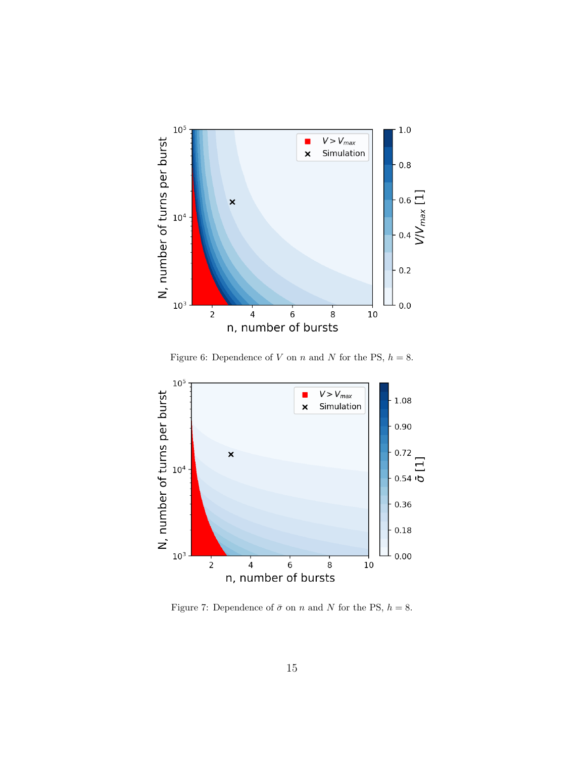<span id="page-14-0"></span>

Figure 6: Dependence of V on n and N for the PS,  $h = 8$ .

<span id="page-14-1"></span>

Figure 7: Dependence of  $\bar{\sigma}$  on n and N for the PS,  $h = 8$ .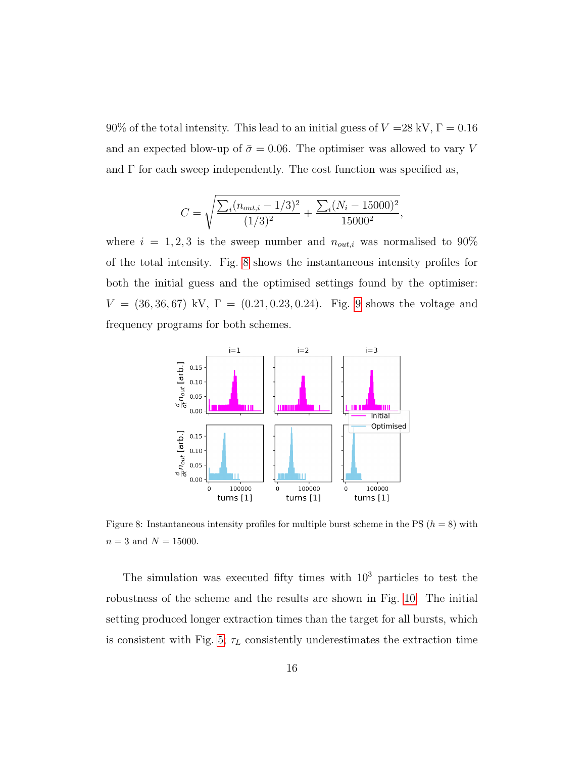$90\%$  of the total intensity. This lead to an initial guess of  $V$  =28 kV,  $\Gamma=0.16$ and an expected blow-up of  $\bar{\sigma} = 0.06$ . The optimiser was allowed to vary V and  $\Gamma$  for each sweep independently. The cost function was specified as,

$$
C = \sqrt{\frac{\sum_{i} (n_{out,i} - 1/3)^2}{(1/3)^2} + \frac{\sum_{i} (N_i - 15000)^2}{15000^2}},
$$

where  $i = 1, 2, 3$  is the sweep number and  $n_{out,i}$  was normalised to 90% of the total intensity. Fig. [8](#page-15-0) shows the instantaneous intensity profiles for both the initial guess and the optimised settings found by the optimiser:  $V = (36, 36, 67)$  kV,  $\Gamma = (0.21, 0.23, 0.24)$ . Fig. [9](#page-16-0) shows the voltage and frequency programs for both schemes.

<span id="page-15-0"></span>

Figure 8: Instantaneous intensity profiles for multiple burst scheme in the PS  $(h = 8)$  with  $n=3$  and  $N=15000.$ 

The simulation was executed fifty times with  $10^3$  particles to test the robustness of the scheme and the results are shown in Fig. [10.](#page-17-0) The initial setting produced longer extraction times than the target for all bursts, which is consistent with Fig. [5;](#page-13-0)  $\tau_L$  consistently underestimates the extraction time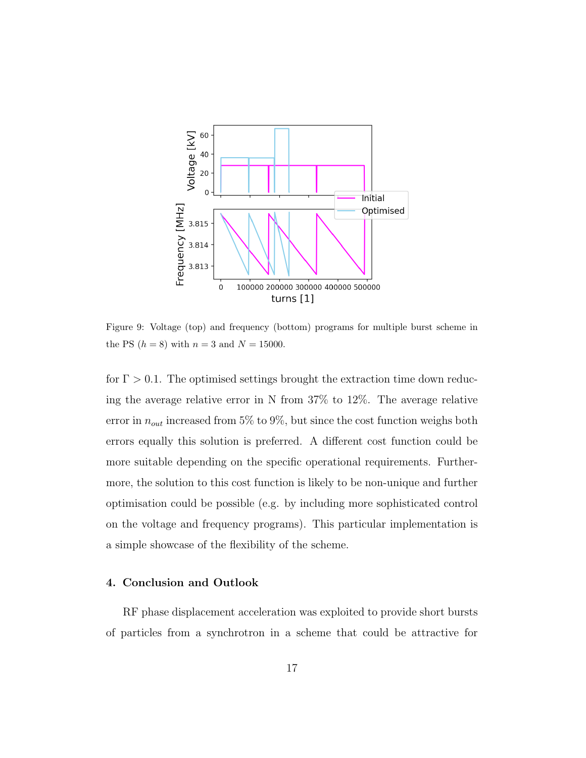<span id="page-16-0"></span>

Figure 9: Voltage (top) and frequency (bottom) programs for multiple burst scheme in the PS  $(h = 8)$  with  $n = 3$  and  $N = 15000$ .

for  $\Gamma > 0.1$ . The optimised settings brought the extraction time down reducing the average relative error in N from 37% to 12%. The average relative error in  $n_{out}$  increased from 5% to 9%, but since the cost function weighs both errors equally this solution is preferred. A different cost function could be more suitable depending on the specific operational requirements. Furthermore, the solution to this cost function is likely to be non-unique and further optimisation could be possible (e.g. by including more sophisticated control on the voltage and frequency programs). This particular implementation is a simple showcase of the flexibility of the scheme.

## 4. Conclusion and Outlook

RF phase displacement acceleration was exploited to provide short bursts of particles from a synchrotron in a scheme that could be attractive for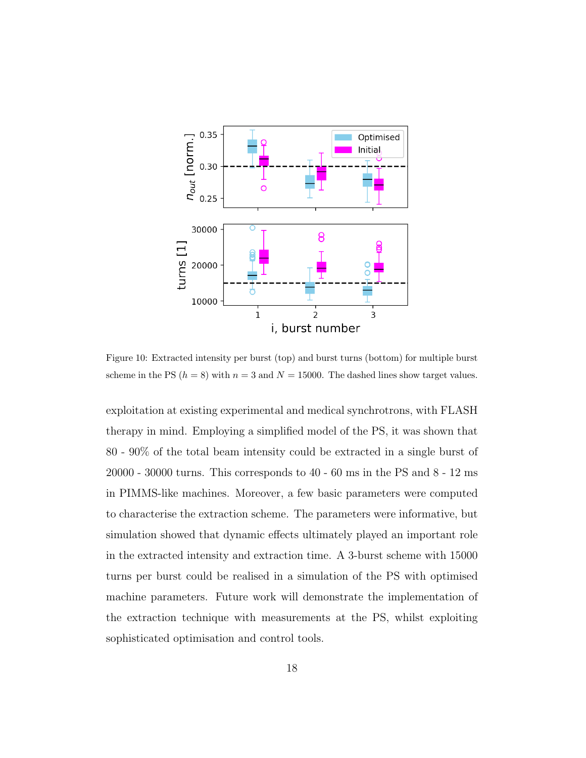<span id="page-17-0"></span>

Figure 10: Extracted intensity per burst (top) and burst turns (bottom) for multiple burst scheme in the PS  $(h = 8)$  with  $n = 3$  and  $N = 15000$ . The dashed lines show target values.

exploitation at existing experimental and medical synchrotrons, with FLASH therapy in mind. Employing a simplified model of the PS, it was shown that 80 - 90% of the total beam intensity could be extracted in a single burst of 20000 - 30000 turns. This corresponds to 40 - 60 ms in the PS and 8 - 12 ms in PIMMS-like machines. Moreover, a few basic parameters were computed to characterise the extraction scheme. The parameters were informative, but simulation showed that dynamic effects ultimately played an important role in the extracted intensity and extraction time. A 3-burst scheme with 15000 turns per burst could be realised in a simulation of the PS with optimised machine parameters. Future work will demonstrate the implementation of the extraction technique with measurements at the PS, whilst exploiting sophisticated optimisation and control tools.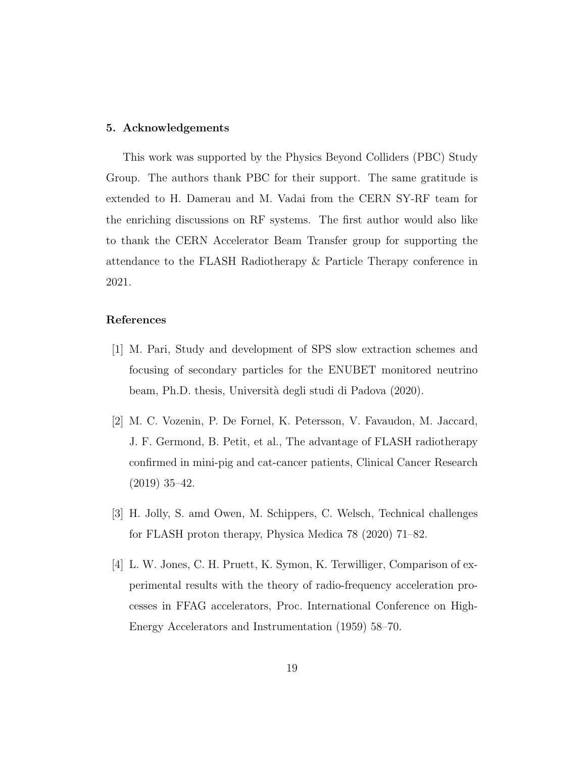## 5. Acknowledgements

This work was supported by the Physics Beyond Colliders (PBC) Study Group. The authors thank PBC for their support. The same gratitude is extended to H. Damerau and M. Vadai from the CERN SY-RF team for the enriching discussions on RF systems. The first author would also like to thank the CERN Accelerator Beam Transfer group for supporting the attendance to the FLASH Radiotherapy & Particle Therapy conference in 2021.

## References

- <span id="page-18-0"></span>[1] M. Pari, Study and development of SPS slow extraction schemes and focusing of secondary particles for the ENUBET monitored neutrino beam, Ph.D. thesis, Università degli studi di Padova (2020).
- <span id="page-18-1"></span>[2] M. C. Vozenin, P. De Fornel, K. Petersson, V. Favaudon, M. Jaccard, J. F. Germond, B. Petit, et al., The advantage of FLASH radiotherapy confirmed in mini-pig and cat-cancer patients, Clinical Cancer Research (2019) 35–42.
- <span id="page-18-2"></span>[3] H. Jolly, S. amd Owen, M. Schippers, C. Welsch, Technical challenges for FLASH proton therapy, Physica Medica 78 (2020) 71–82.
- <span id="page-18-3"></span>[4] L. W. Jones, C. H. Pruett, K. Symon, K. Terwilliger, Comparison of experimental results with the theory of radio-frequency acceleration processes in FFAG accelerators, Proc. International Conference on High-Energy Accelerators and Instrumentation (1959) 58–70.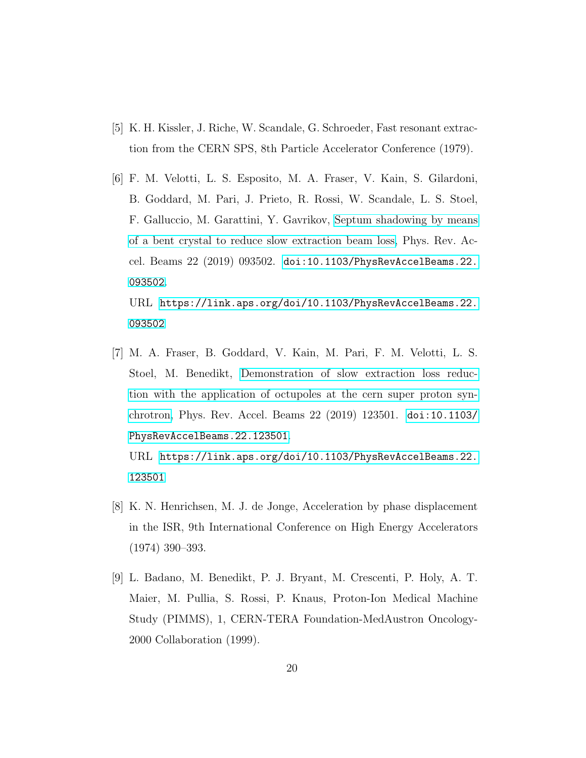- <span id="page-19-0"></span>[5] K. H. Kissler, J. Riche, W. Scandale, G. Schroeder, Fast resonant extraction from the CERN SPS, 8th Particle Accelerator Conference (1979).
- <span id="page-19-1"></span>[6] F. M. Velotti, L. S. Esposito, M. A. Fraser, V. Kain, S. Gilardoni, B. Goddard, M. Pari, J. Prieto, R. Rossi, W. Scandale, L. S. Stoel, F. Galluccio, M. Garattini, Y. Gavrikov, [Septum shadowing by means](https://link.aps.org/doi/10.1103/PhysRevAccelBeams.22.093502) [of a bent crystal to reduce slow extraction beam loss,](https://link.aps.org/doi/10.1103/PhysRevAccelBeams.22.093502) Phys. Rev. Accel. Beams 22 (2019) 093502. [doi:10.1103/PhysRevAccelBeams.22.](https://doi.org/10.1103/PhysRevAccelBeams.22.093502) [093502](https://doi.org/10.1103/PhysRevAccelBeams.22.093502).

URL [https://link.aps.org/doi/10.1103/PhysRevAccelBeams.22.](https://link.aps.org/doi/10.1103/PhysRevAccelBeams.22.093502) [093502](https://link.aps.org/doi/10.1103/PhysRevAccelBeams.22.093502)

<span id="page-19-2"></span>[7] M. A. Fraser, B. Goddard, V. Kain, M. Pari, F. M. Velotti, L. S. Stoel, M. Benedikt, [Demonstration of slow extraction loss reduc](https://link.aps.org/doi/10.1103/PhysRevAccelBeams.22.123501)[tion with the application of octupoles at the cern super proton syn](https://link.aps.org/doi/10.1103/PhysRevAccelBeams.22.123501)[chrotron,](https://link.aps.org/doi/10.1103/PhysRevAccelBeams.22.123501) Phys. Rev. Accel. Beams 22 (2019) 123501. [doi:10.1103/](https://doi.org/10.1103/PhysRevAccelBeams.22.123501) [PhysRevAccelBeams.22.123501](https://doi.org/10.1103/PhysRevAccelBeams.22.123501).

URL [https://link.aps.org/doi/10.1103/PhysRevAccelBeams.22.](https://link.aps.org/doi/10.1103/PhysRevAccelBeams.22.123501) [123501](https://link.aps.org/doi/10.1103/PhysRevAccelBeams.22.123501)

- <span id="page-19-3"></span>[8] K. N. Henrichsen, M. J. de Jonge, Acceleration by phase displacement in the ISR, 9th International Conference on High Energy Accelerators (1974) 390–393.
- <span id="page-19-4"></span>[9] L. Badano, M. Benedikt, P. J. Bryant, M. Crescenti, P. Holy, A. T. Maier, M. Pullia, S. Rossi, P. Knaus, Proton-Ion Medical Machine Study (PIMMS), 1, CERN-TERA Foundation-MedAustron Oncology-2000 Collaboration (1999).